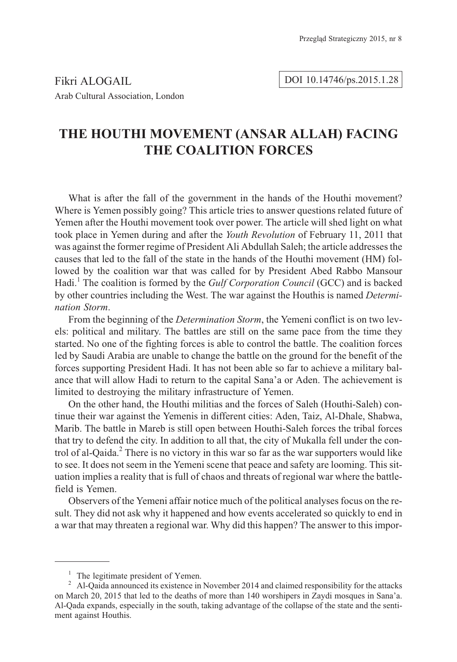Fikri ALOGAIL Arab Cultural Association, London

### DOI 10.14746/ps.2015.1.28

# **THE HOUTHI MOVEMENT (ANSAR ALLAH) FACING THE COALITION FORCES**

What is after the fall of the government in the hands of the Houthi movement? Where is Yemen possibly going? This article tries to answer questions related future of Yemen after the Houthi movement took over power. The article will shed light on what took place in Yemen during and after the *Youth Revolution* of February 11, 2011 that was against the former regime of President Ali Abdullah Saleh; the article addresses the causes that led to the fall of the state in the hands of the Houthi movement (HM) followed by the coalition war that was called for by President Abed Rabbo Mansour Hadi.<sup>1</sup> The coalition is formed by the *Gulf Corporation Council* (GCC) and is backed by other countries including the West. The war against the Houthis is named *Determination Storm*.

From the beginning of the *Determination Storm*, the Yemeni conflict is on two levels: political and military. The battles are still on the same pace from the time they started. No one of the fighting forces is able to control the battle. The coalition forces led by Saudi Arabia are unable to change the battle on the ground for the benefit of the forces supporting President Hadi. It has not been able so far to achieve a military balance that will allow Hadi to return to the capital Sana'a or Aden. The achievement is limited to destroying the military infrastructure of Yemen.

On the other hand, the Houthi militias and the forces of Saleh (Houthi-Saleh) continue their war against the Yemenis in different cities: Aden, Taiz, Al-Dhale, Shabwa, Marib. The battle in Mareb is still open between Houthi-Saleh forces the tribal forces that try to defend the city. In addition to all that, the city of Mukalla fell under the control of al-Qaida.<sup>2</sup> There is no victory in this war so far as the war supporters would like to see. It does not seem in the Yemeni scene that peace and safety are looming. This situation implies a reality that is full of chaos and threats of regional war where the battlefield is Yemen.

Observers of the Yemeni affair notice much of the political analyses focus on the result. They did not ask why it happened and how events accelerated so quickly to end in a war that may threaten a regional war. Why did this happen? The answer to this impor-

<sup>&</sup>lt;sup>1</sup> The legitimate president of Yemen.<br><sup>2</sup> Al-Qaida announced its existence in November 2014 and claimed responsibility for the attacks on March 20, 2015 that led to the deaths of more than 140 worshipers in Zaydi mosques in Sana'a. Al-Qada expands, especially in the south, taking advantage of the collapse of the state and the sentiment against Houthis.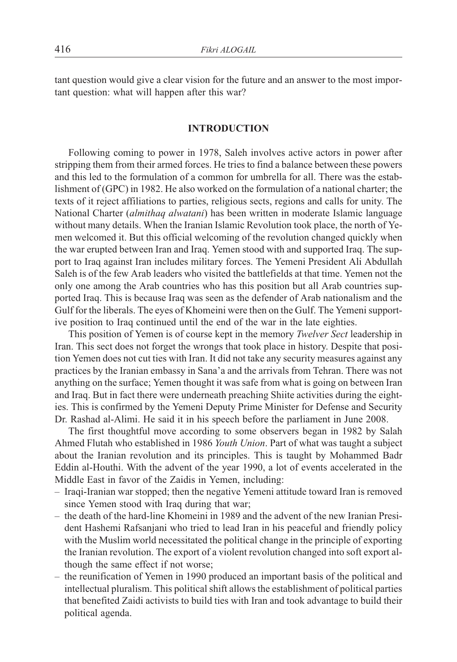tant question would give a clear vision for the future and an answer to the most important question: what will happen after this war?

#### **INTRODUCTION INTRODUCTION**

Following coming to power in 1978, Saleh involves active actors in power after stripping them from their armed forces. He tries to find a balance between these powers and this led to the formulation of a common for umbrella for all. There was the establishment of (GPC) in 1982. He also worked on the formulation of a national charter; the texts of it reject affiliations to parties, religious sects, regions and calls for unity. The National Charter (*almithaq alwatani*) has been written in moderate Islamic language without many details. When the Iranian Islamic Revolution took place, the north of Yemen welcomed it. But this official welcoming of the revolution changed quickly when the war erupted between Iran and Iraq. Yemen stood with and supported Iraq. The support to Iraq against Iran includes military forces. The Yemeni President Ali Abdullah Saleh is of the few Arab leaders who visited the battlefields at that time. Yemen not the only one among the Arab countries who has this position but all Arab countries supported Iraq. This is because Iraq was seen as the defender of Arab nationalism and the Gulf for the liberals. The eyes of Khomeini were then on the Gulf. The Yemeni supportive position to Iraq continued until the end of the war in the late eighties.

This position of Yemen is of course kept in the memory *Twelver Sect* leadership in Iran. This sect does not forget the wrongs that took place in history. Despite that position Yemen does not cut ties with Iran. It did not take any security measures against any practices by the Iranian embassy in Sana'a and the arrivals from Tehran. There was not anything on the surface; Yemen thought it was safe from what is going on between Iran and Iraq. But in fact there were underneath preaching Shiite activities during the eighties. This is confirmed by the Yemeni Deputy Prime Minister for Defense and Security Dr. Rashad al-Alimi. He said it in his speech before the parliament in June 2008.

The first thoughtful move according to some observers began in 1982 by Salah Ahmed Flutah who established in 1986 *Youth Union*. Part of what was taught a subject about the Iranian revolution and its principles. This is taught by Mohammed Badr Eddin al-Houthi. With the advent of the year 1990, a lot of events accelerated in the Middle East in favor of the Zaidis in Yemen, including:

- Iraqi-Iranian war stopped; then the negative Yemeni attitude toward Iran is removed since Yemen stood with Iraq during that war;
- the death of the hard-line Khomeini in 1989 and the advent of the new Iranian President Hashemi Rafsanjani who tried to lead Iran in his peaceful and friendly policy with the Muslim world necessitated the political change in the principle of exporting the Iranian revolution. The export of a violent revolution changed into soft export although the same effect if not worse;
- the reunification of Yemen in 1990 produced an important basis of the political and intellectual pluralism. This political shift allows the establishment of political parties that benefited Zaidi activists to build ties with Iran and took advantage to build their political agenda.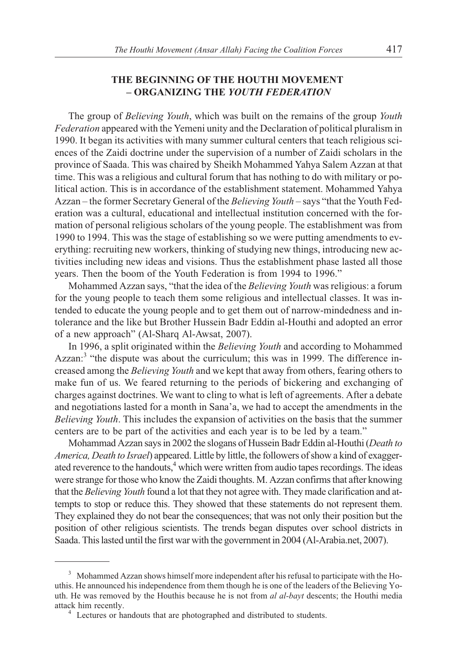## THE BEGINNING OF THE HOUTHI MOVEMENT **THE BEGINNING OF THE HOUTHI MOVEMENT – ORGANIZING THE** *YOUTH FEDERATION*

The group of *Believing Youth*, which was built on the remains of the group *Youth Federation* appeared with the Yemeni unity and the Declaration of political pluralism in 1990. It began its activities with many summer cultural centers that teach religious sciences of the Zaidi doctrine under the supervision of a number of Zaidi scholars in the province of Saada. This was chaired by Sheikh Mohammed Yahya Salem Azzan at that time. This was a religious and cultural forum that has nothing to do with military or political action. This is in accordance of the establishment statement. Mohammed Yahya Azzan – the former Secretary General of the *Believing Youth* – says "that the Youth Federation was a cultural, educational and intellectual institution concerned with the formation of personal religious scholars of the young people. The establishment was from 1990 to 1994. This was the stage of establishing so we were putting amendments to everything: recruiting new workers, thinking of studying new things, introducing new activities including new ideas and visions. Thus the establishment phase lasted all those years. Then the boom of the Youth Federation is from 1994 to 1996."

Mohammed Azzan says, "that the idea of the *Believing Youth* was religious: a forum for the young people to teach them some religious and intellectual classes. It was intended to educate the young people and to get them out of narrow-mindedness and intolerance and the like but Brother Hussein Badr Eddin al-Houthi and adopted an error of a new approach" (Al-Sharq Al-Awsat, 2007).

In 1996, a split originated within the *Believing Youth* and according to Mohammed Azzan: $3$  "the dispute was about the curriculum; this was in 1999. The difference increased among the *Believing Youth* and we kept that away from others, fearing others to make fun of us. We feared returning to the periods of bickering and exchanging of charges against doctrines. We want to cling to what is left of agreements. After a debate and negotiations lasted for a month in Sana'a, we had to accept the amendments in the *Believing Youth*. This includes the expansion of activities on the basis that the summer centers are to be part of the activities and each year is to be led by a team."

Mohammad Azzan says in 2002 the slogans of Hussein Badr Eddin al-Houthi (*Death to America, Death to Israel*) appeared. Little by little, the followers of show a kind of exaggerated reverence to the handouts,<sup>4</sup> which were written from audio tapes recordings. The ideas were strange for those who know the Zaidi thoughts. M. Azzan confirms that after knowing that the *Believing Youth* found a lot that they not agree with. They made clarification and attempts to stop or reduce this. They showed that these statements do not represent them. They explained they do not bear the consequences; that was not only their position but the position of other religious scientists. The trends began disputes over school districts in Saada. This lasted until the first war with the government in 2004 (Al-Arabia.net, 2007).

<sup>&</sup>lt;sup>3</sup> Mohammed Azzan shows himself more independent after his refusal to participate with the Houthis. He announced his independence from them though he is one of the leaders of the Believing Youth. He was removed by the Houthis because he is not from *al al-bayt* descents; the Houthi media

 $4$  Lectures or handouts that are photographed and distributed to students.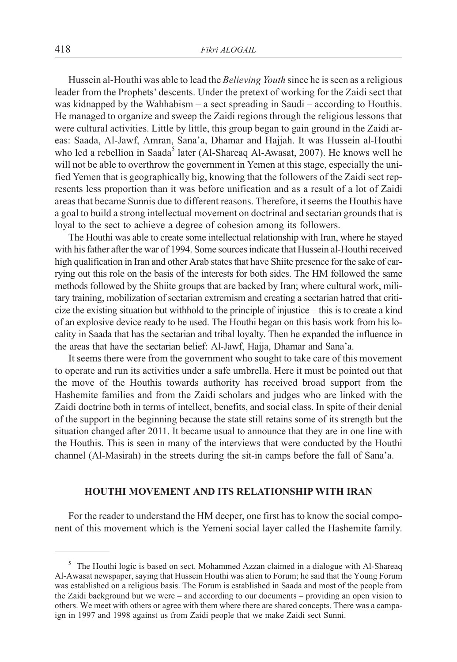Hussein al-Houthi was able to lead the *Believing Youth* since he is seen as a religious leader from the Prophets' descents. Under the pretext of working for the Zaidi sect that was kidnapped by the Wahhabism – a sect spreading in Saudi – according to Houthis. He managed to organize and sweep the Zaidi regions through the religious lessons that were cultural activities. Little by little, this group began to gain ground in the Zaidi areas: Saada, Al-Jawf, Amran, Sana'a, Dhamar and Hajjah. It was Hussein al-Houthi who led a rebellion in Saada<sup>5</sup> later (Al-Shareaq Al-Awasat, 2007). He knows well he will not be able to overthrow the government in Yemen at this stage, especially the unified Yemen that is geographically big, knowing that the followers of the Zaidi sect represents less proportion than it was before unification and as a result of a lot of Zaidi areas that became Sunnis due to different reasons. Therefore, it seems the Houthis have a goal to build a strong intellectual movement on doctrinal and sectarian grounds that is loyal to the sect to achieve a degree of cohesion among its followers.

The Houthi was able to create some intellectual relationship with Iran, where he stayed with his father after the war of 1994. Some sources indicate that Hussein al-Houthi received high qualification in Iran and other Arab states that have Shiite presence for the sake of carrying out this role on the basis of the interests for both sides. The HM followed the same methods followed by the Shiite groups that are backed by Iran; where cultural work, military training, mobilization of sectarian extremism and creating a sectarian hatred that criticize the existing situation but withhold to the principle of injustice – this is to create a kind of an explosive device ready to be used. The Houthi began on this basis work from his locality in Saada that has the sectarian and tribal loyalty. Then he expanded the influence in the areas that have the sectarian belief: Al-Jawf, Hajja, Dhamar and Sana'a.

It seems there were from the government who sought to take care of this movement to operate and run its activities under a safe umbrella. Here it must be pointed out that the move of the Houthis towards authority has received broad support from the Hashemite families and from the Zaidi scholars and judges who are linked with the Zaidi doctrine both in terms of intellect, benefits, and social class. In spite of their denial of the support in the beginning because the state still retains some of its strength but the situation changed after 2011. It became usual to announce that they are in one line with the Houthis. This is seen in many of the interviews that were conducted by the Houthi channel (Al-Masirah) in the streets during the sit-in camps before the fall of Sana'a.

#### **HOUTHI MOVEMENT AND ITS RELATIONSHIP WITH IRAN HOUTHI MOVEMENT AND ITS RELATIONSHIP WITH IRAN**

For the reader to understand the HM deeper, one first has to know the social component of this movement which is the Yemeni social layer called the Hashemite family.

<sup>&</sup>lt;sup>5</sup> The Houthi logic is based on sect. Mohammed Azzan claimed in a dialogue with Al-Shareaq Al-Awasat newspaper, saying that Hussein Houthi was alien to Forum; he said that the Young Forum was established on a religious basis. The Forum is established in Saada and most of the people from the Zaidi background but we were – and according to our documents – providing an open vision to others. We meet with others or agree with them where there are shared concepts. There was a campaign in 1997 and 1998 against us from Zaidi people that we make Zaidi sect Sunni.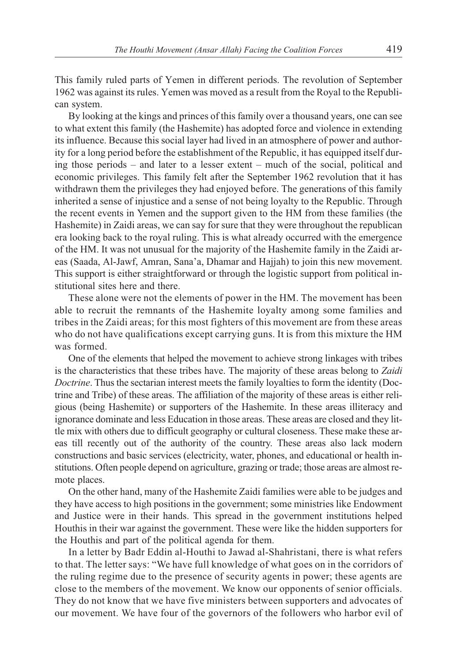This family ruled parts of Yemen in different periods. The revolution of September 1962 was against its rules. Yemen was moved as a result from the Royal to the Republican system.

By looking at the kings and princes of this family over a thousand years, one can see to what extent this family (the Hashemite) has adopted force and violence in extending its influence. Because this social layer had lived in an atmosphere of power and authority for a long period before the establishment of the Republic, it has equipped itself during those periods – and later to a lesser extent – much of the social, political and economic privileges. This family felt after the September 1962 revolution that it has withdrawn them the privileges they had enjoyed before. The generations of this family inherited a sense of injustice and a sense of not being loyalty to the Republic. Through the recent events in Yemen and the support given to the HM from these families (the Hashemite) in Zaidi areas, we can say for sure that they were throughout the republican era looking back to the royal ruling. This is what already occurred with the emergence of the HM. It was not unusual for the majority of the Hashemite family in the Zaidi areas (Saada, Al-Jawf, Amran, Sana'a, Dhamar and Hajjah) to join this new movement. This support is either straightforward or through the logistic support from political institutional sites here and there.

These alone were not the elements of power in the HM. The movement has been able to recruit the remnants of the Hashemite loyalty among some families and tribes in the Zaidi areas; for this most fighters of this movement are from these areas who do not have qualifications except carrying guns. It is from this mixture the HM was formed.

One of the elements that helped the movement to achieve strong linkages with tribes is the characteristics that these tribes have. The majority of these areas belong to *Zaidi Doctrine*. Thus the sectarian interest meets the family loyalties to form the identity (Doctrine and Tribe) of these areas. The affiliation of the majority of these areas is either religious (being Hashemite) or supporters of the Hashemite. In these areas illiteracy and ignorance dominate and less Education in those areas. These areas are closed and they little mix with others due to difficult geography or cultural closeness. These make these areas till recently out of the authority of the country. These areas also lack modern constructions and basic services (electricity, water, phones, and educational or health institutions. Often people depend on agriculture, grazing or trade; those areas are almost remote places.

On the other hand, many of the Hashemite Zaidi families were able to be judges and they have access to high positions in the government; some ministries like Endowment and Justice were in their hands. This spread in the government institutions helped Houthis in their war against the government. These were like the hidden supporters for the Houthis and part of the political agenda for them.

In a letter by Badr Eddin al-Houthi to Jawad al-Shahristani, there is what refers to that. The letter says: "We have full knowledge of what goes on in the corridors of the ruling regime due to the presence of security agents in power; these agents are close to the members of the movement. We know our opponents of senior officials. They do not know that we have five ministers between supporters and advocates of our movement. We have four of the governors of the followers who harbor evil of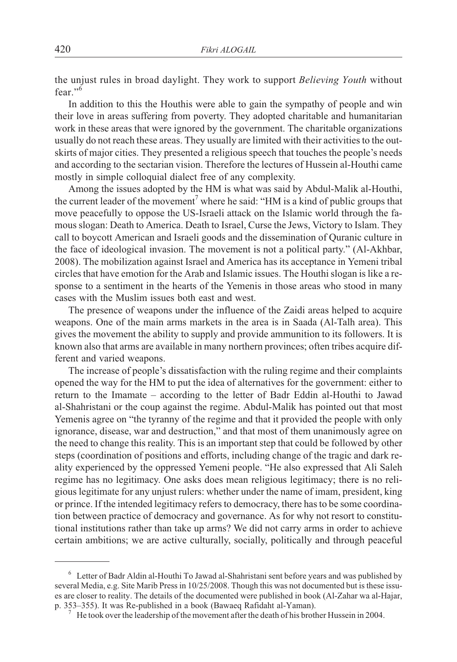the unjust rules in broad daylight. They work to support *Believing Youth* without fear." $\frac{6}{5}$ 

In addition to this the Houthis were able to gain the sympathy of people and win their love in areas suffering from poverty. They adopted charitable and humanitarian work in these areas that were ignored by the government. The charitable organizations usually do not reach these areas. They usually are limited with their activities to the outskirts of major cities. They presented a religious speech that touches the people's needs and according to the sectarian vision. Therefore the lectures of Hussein al-Houthi came mostly in simple colloquial dialect free of any complexity.

Among the issues adopted by the HM is what was said by Abdul-Malik al-Houthi, the current leader of the movement<sup>7</sup> where he said: "HM is a kind of public groups that move peacefully to oppose the US-Israeli attack on the Islamic world through the famous slogan: Death to America. Death to Israel, Curse the Jews, Victory to Islam. They call to boycott American and Israeli goods and the dissemination of Quranic culture in the face of ideological invasion. The movement is not a political party." (Al-Akhbar, 2008). The mobilization against Israel and America has its acceptance in Yemeni tribal circles that have emotion for the Arab and Islamic issues. The Houthi slogan is like a response to a sentiment in the hearts of the Yemenis in those areas who stood in many cases with the Muslim issues both east and west.

The presence of weapons under the influence of the Zaidi areas helped to acquire weapons. One of the main arms markets in the area is in Saada (Al-Talh area). This gives the movement the ability to supply and provide ammunition to its followers. It is known also that arms are available in many northern provinces; often tribes acquire different and varied weapons.

The increase of people's dissatisfaction with the ruling regime and their complaints opened the way for the HM to put the idea of alternatives for the government: either to return to the Imamate – according to the letter of Badr Eddin al-Houthi to Jawad al-Shahristani or the coup against the regime. Abdul-Malik has pointed out that most Yemenis agree on "the tyranny of the regime and that it provided the people with only ignorance, disease, war and destruction," and that most of them unanimously agree on the need to change this reality. This is an important step that could be followed by other steps (coordination of positions and efforts, including change of the tragic and dark reality experienced by the oppressed Yemeni people. "He also expressed that Ali Saleh regime has no legitimacy. One asks does mean religious legitimacy; there is no religious legitimate for any unjust rulers: whether under the name of imam, president, king or prince. If the intended legitimacy refers to democracy, there has to be some coordination between practice of democracy and governance. As for why not resort to constitutional institutions rather than take up arms? We did not carry arms in order to achieve certain ambitions; we are active culturally, socially, politically and through peaceful

 $6$  Letter of Badr Aldin al-Houthi To Jawad al-Shahristani sent before years and was published by several Media, e.g. Site Marib Press in  $10/25/2008$ . Though this was not documented but is these issues are closer to reality. The details of the documented were published in book (Al-Zahar wa al-Hajar, p. 353–355). It was Re-published in a book (Bawaeq Rafidaht al-Yaman).

He took over the leadership of the movement after the death of his brother Hussein in 2004.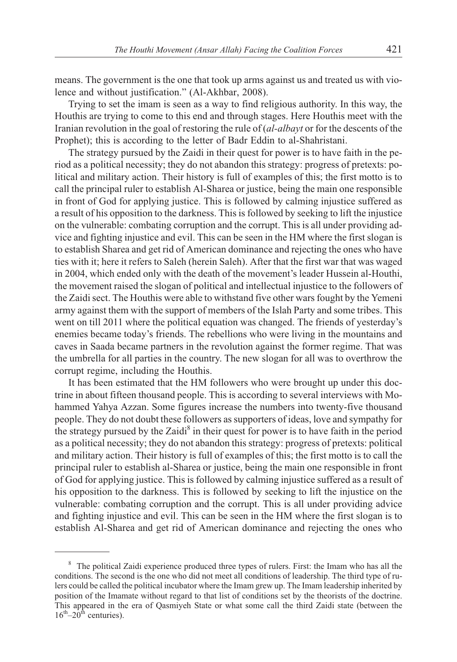means. The government is the one that took up arms against us and treated us with violence and without justification." (Al-Akhbar, 2008).

Trying to set the imam is seen as a way to find religious authority. In this way, the Houthis are trying to come to this end and through stages. Here Houthis meet with the Iranian revolution in the goal of restoring the rule of (*al-albayt* or for the descents of the Prophet); this is according to the letter of Badr Eddin to al-Shahristani.

The strategy pursued by the Zaidi in their quest for power is to have faith in the period as a political necessity; they do not abandon this strategy: progress of pretexts: political and military action. Their history is full of examples of this; the first motto is to call the principal ruler to establish Al-Sharea or justice, being the main one responsible in front of God for applying justice. This is followed by calming injustice suffered as a result of his opposition to the darkness. This is followed by seeking to lift the injustice on the vulnerable: combating corruption and the corrupt. This is all under providing advice and fighting injustice and evil. This can be seen in the HM where the first slogan is to establish Sharea and get rid of American dominance and rejecting the ones who have ties with it; here it refers to Saleh (herein Saleh). After that the first war that was waged in 2004, which ended only with the death of the movement's leader Hussein al-Houthi, the movement raised the slogan of political and intellectual injustice to the followers of the Zaidi sect. The Houthis were able to withstand five other wars fought by the Yemeni army against them with the support of members of the Islah Party and some tribes. This went on till 2011 where the political equation was changed. The friends of yesterday's enemies became today's friends. The rebellions who were living in the mountains and caves in Saada became partners in the revolution against the former regime. That was the umbrella for all parties in the country. The new slogan for all was to overthrow the corrupt regime, including the Houthis.

It has been estimated that the HM followers who were brought up under this doctrine in about fifteen thousand people. This is according to several interviews with Mohammed Yahya Azzan. Some figures increase the numbers into twenty-five thousand people. They do not doubt these followers as supporters of ideas, love and sympathy for the strategy pursued by the Zaidi<sup>8</sup> in their quest for power is to have faith in the period as a political necessity; they do not abandon this strategy: progress of pretexts: political and military action. Their history is full of examples of this; the first motto is to call the principal ruler to establish al-Sharea or justice, being the main one responsible in front of God for applying justice. This is followed by calming injustice suffered as a result of his opposition to the darkness. This is followed by seeking to lift the injustice on the vulnerable: combating corruption and the corrupt. This is all under providing advice and fighting injustice and evil. This can be seen in the HM where the first slogan is to establish Al-Sharea and get rid of American dominance and rejecting the ones who

<sup>&</sup>lt;sup>8</sup> The political Zaidi experience produced three types of rulers. First: the Imam who has all the conditions. The second is the one who did not meet all conditions of leadership. The third type of rulers could be called the political incubator where the Imam grew up. The Imam leadership inherited by position of the Imamate without regard to that list of conditions set by the theorists of the doctrine. This appeared in the era of Qasmiyeh State or what some call the third Zaidi state (between the  $16^{th}$ – $20^{th}$  centuries).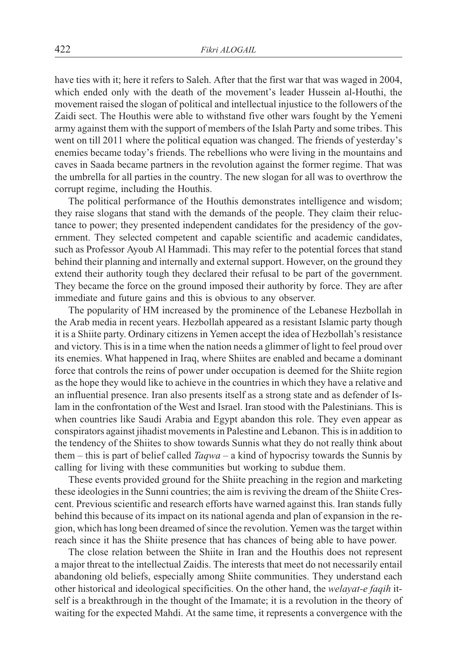have ties with it; here it refers to Saleh. After that the first war that was waged in 2004, which ended only with the death of the movement's leader Hussein al-Houthi, the movement raised the slogan of political and intellectual injustice to the followers of the Zaidi sect. The Houthis were able to withstand five other wars fought by the Yemeni army against them with the support of members of the Islah Party and some tribes. This went on till 2011 where the political equation was changed. The friends of yesterday's enemies became today's friends. The rebellions who were living in the mountains and caves in Saada became partners in the revolution against the former regime. That was the umbrella for all parties in the country. The new slogan for all was to overthrow the corrupt regime, including the Houthis.

The political performance of the Houthis demonstrates intelligence and wisdom; they raise slogans that stand with the demands of the people. They claim their reluctance to power; they presented independent candidates for the presidency of the government. They selected competent and capable scientific and academic candidates, such as Professor Ayoub Al Hammadi. This may refer to the potential forces that stand behind their planning and internally and external support. However, on the ground they extend their authority tough they declared their refusal to be part of the government. They became the force on the ground imposed their authority by force. They are after immediate and future gains and this is obvious to any observer.

The popularity of HM increased by the prominence of the Lebanese Hezbollah in the Arab media in recent years. Hezbollah appeared as a resistant Islamic party though it is a Shiite party. Ordinary citizens in Yemen accept the idea of Hezbollah's resistance and victory. This is in a time when the nation needs a glimmer of light to feel proud over its enemies. What happened in Iraq, where Shiites are enabled and became a dominant force that controls the reins of power under occupation is deemed for the Shiite region as the hope they would like to achieve in the countries in which they have a relative and an influential presence. Iran also presents itself as a strong state and as defender of Islam in the confrontation of the West and Israel. Iran stood with the Palestinians. This is when countries like Saudi Arabia and Egypt abandon this role. They even appear as conspirators against jihadist movements in Palestine and Lebanon. This is in addition to the tendency of the Shiites to show towards Sunnis what they do not really think about them – this is part of belief called *Taqwa* – a kind of hypocrisy towards the Sunnis by calling for living with these communities but working to subdue them.

These events provided ground for the Shiite preaching in the region and marketing these ideologies in the Sunni countries; the aim is reviving the dream of the Shiite Crescent. Previous scientific and research efforts have warned against this. Iran stands fully behind this because of its impact on its national agenda and plan of expansion in the region, which has long been dreamed of since the revolution. Yemen was the target within reach since it has the Shiite presence that has chances of being able to have power.

The close relation between the Shiite in Iran and the Houthis does not represent a major threat to the intellectual Zaidis. The interests that meet do not necessarily entail abandoning old beliefs, especially among Shiite communities. They understand each other historical and ideological specificities. On the other hand, the *welayat-e faqih* itself is a breakthrough in the thought of the Imamate; it is a revolution in the theory of waiting for the expected Mahdi. At the same time, it represents a convergence with the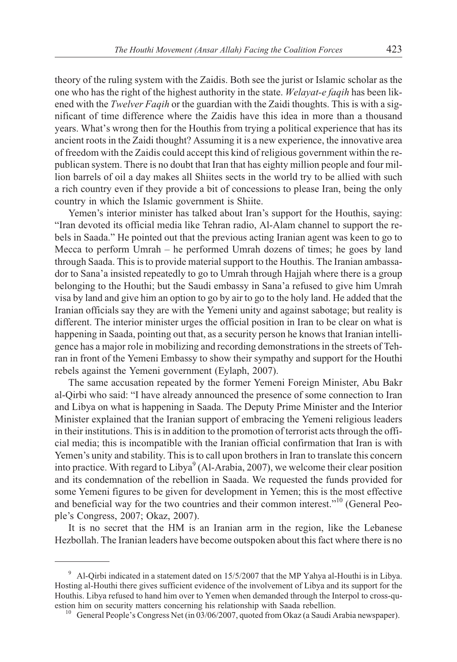theory of the ruling system with the Zaidis. Both see the jurist or Islamic scholar as the one who has the right of the highest authority in the state. *Welayat-e faqih* has been likened with the *Twelver Faqih* or the guardian with the Zaidi thoughts. This is with a significant of time difference where the Zaidis have this idea in more than a thousand years. What's wrong then for the Houthis from trying a political experience that has its ancient roots in the Zaidi thought? Assuming it is a new experience, the innovative area of freedom with the Zaidis could accept this kind of religious government within the republican system. There is no doubt that Iran that has eighty million people and four million barrels of oil a day makes all Shiites sects in the world try to be allied with such a rich country even if they provide a bit of concessions to please Iran, being the only country in which the Islamic government is Shiite.

Yemen's interior minister has talked about Iran's support for the Houthis, saying: "Iran devoted its official media like Tehran radio, Al-Alam channel to support the rebels in Saada." He pointed out that the previous acting Iranian agent was keen to go to Mecca to perform Umrah – he performed Umrah dozens of times; he goes by land through Saada. This is to provide material support to the Houthis. The Iranian ambassador to Sana'a insisted repeatedly to go to Umrah through Hajjah where there is a group belonging to the Houthi; but the Saudi embassy in Sana'a refused to give him Umrah visa by land and give him an option to go by air to go to the holy land. He added that the Iranian officials say they are with the Yemeni unity and against sabotage; but reality is different. The interior minister urges the official position in Iran to be clear on what is happening in Saada, pointing out that, as a security person he knows that Iranian intelligence has a major role in mobilizing and recording demonstrations in the streets of Tehran in front of the Yemeni Embassy to show their sympathy and support for the Houthi rebels against the Yemeni government (Eylaph, 2007).

The same accusation repeated by the former Yemeni Foreign Minister, Abu Bakr al-Qirbi who said: "I have already announced the presence of some connection to Iran and Libya on what is happening in Saada. The Deputy Prime Minister and the Interior Minister explained that the Iranian support of embracing the Yemeni religious leaders in their institutions. This is in addition to the promotion of terrorist acts through the official media; this is incompatible with the Iranian official confirmation that Iran is with Yemen's unity and stability. This is to call upon brothers in Iran to translate this concern into practice. With regard to Libya<sup>9</sup> (Al-Arabia, 2007), we welcome their clear position and its condemnation of the rebellion in Saada. We requested the funds provided for some Yemeni figures to be given for development in Yemen; this is the most effective and beneficial way for the two countries and their common interest."<sup>10</sup> (General People's Congress, 2007; Okaz, 2007).

It is no secret that the HM is an Iranian arm in the region, like the Lebanese Hezbollah. The Iranian leaders have become outspoken about this fact where there is no

 $9$  Al-Qirbi indicated in a statement dated on 15/5/2007 that the MP Yahya al-Houthi is in Libya. Hosting al-Houthi there gives sufficient evidence of the involvement of Libya and its support for the Houthis. Libya refused to hand him over to Yemen when demanded through the Interpol to cross-qu-

<sup>&</sup>lt;sup>10</sup> General People's Congress Net (in 03/06/2007, quoted from Okaz (a Saudi Arabia newspaper).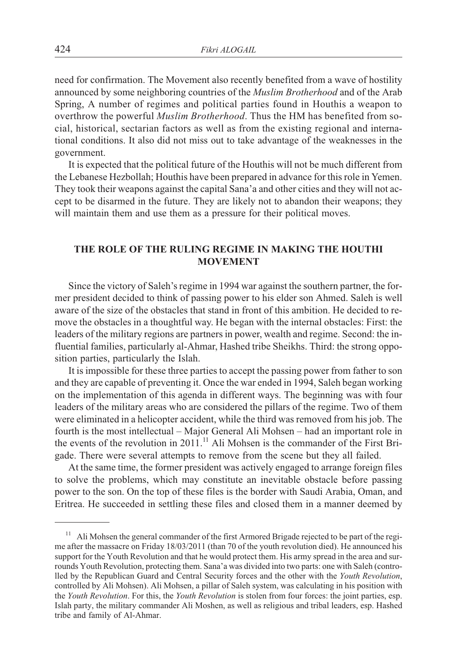need for confirmation. The Movement also recently benefited from a wave of hostility announced by some neighboring countries of the *Muslim Brotherhood* and of the Arab Spring, A number of regimes and political parties found in Houthis a weapon to overthrow the powerful *Muslim Brotherhood*. Thus the HM has benefited from social, historical, sectarian factors as well as from the existing regional and international conditions. It also did not miss out to take advantage of the weaknesses in the government.

It is expected that the political future of the Houthis will not be much different from the Lebanese Hezbollah; Houthis have been prepared in advance for this role in Yemen. They took their weapons against the capital Sana'a and other cities and they will not accept to be disarmed in the future. They are likely not to abandon their weapons; they will maintain them and use them as a pressure for their political moves.

#### THE ROLE OF THE RULING REGIME IN MAKING THE HOUTHI **MOVEMENT MOVEMENT**

Since the victory of Saleh's regime in 1994 war against the southern partner, the former president decided to think of passing power to his elder son Ahmed. Saleh is well aware of the size of the obstacles that stand in front of this ambition. He decided to remove the obstacles in a thoughtful way. He began with the internal obstacles: First: the leaders of the military regions are partners in power, wealth and regime. Second: the influential families, particularly al-Ahmar, Hashed tribe Sheikhs. Third: the strong opposition parties, particularly the Islah.

It is impossible for these three parties to accept the passing power from father to son and they are capable of preventing it. Once the war ended in 1994, Saleh began working on the implementation of this agenda in different ways. The beginning was with four leaders of the military areas who are considered the pillars of the regime. Two of them were eliminated in a helicopter accident, while the third was removed from his job. The fourth is the most intellectual – Major General Ali Mohsen – had an important role in the events of the revolution in 2011.<sup>11</sup> Ali Mohsen is the commander of the First Brigade. There were several attempts to remove from the scene but they all failed.

At the same time, the former president was actively engaged to arrange foreign files to solve the problems, which may constitute an inevitable obstacle before passing power to the son. On the top of these files is the border with Saudi Arabia, Oman, and Eritrea. He succeeded in settling these files and closed them in a manner deemed by

<sup>11</sup> Ali Mohsen the general commander of the first Armored Brigade rejected to be part of the regime after the massacre on Friday 18/03/2011 (than 70 of the youth revolution died). He announced his support for the Youth Revolution and that he would protect them. His army spread in the area and surrounds Youth Revolution, protecting them. Sana'a was divided into two parts: one with Saleh (controlled by the Republican Guard and Central Security forces and the other with the *Youth Revolution*, controlled by Ali Mohsen). Ali Mohsen, a pillar of Saleh system, was calculating in his position with the *Youth Revolution*. For this, the *Youth Revolution* is stolen from four forces: the joint parties, esp. Islah party, the military commander Ali Moshen, as well as religious and tribal leaders, esp. Hashed tribe and family of Al-Ahmar.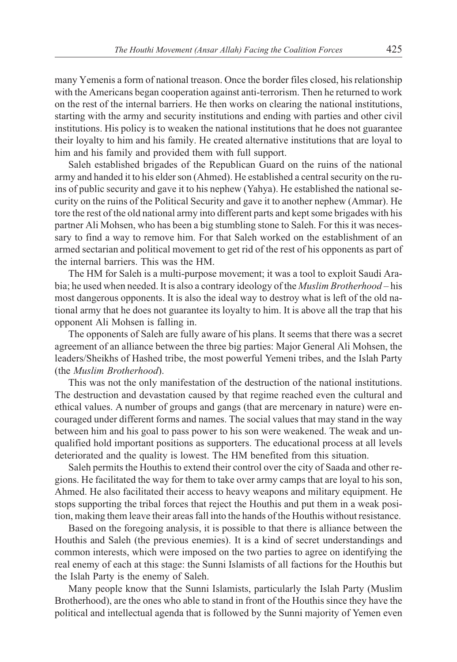many Yemenis a form of national treason. Once the border files closed, his relationship with the Americans began cooperation against anti-terrorism. Then he returned to work on the rest of the internal barriers. He then works on clearing the national institutions, starting with the army and security institutions and ending with parties and other civil institutions. His policy is to weaken the national institutions that he does not guarantee their loyalty to him and his family. He created alternative institutions that are loyal to him and his family and provided them with full support.

Saleh established brigades of the Republican Guard on the ruins of the national army and handed it to his elder son (Ahmed). He established a central security on the ruins of public security and gave it to his nephew (Yahya). He established the national security on the ruins of the Political Security and gave it to another nephew (Ammar). He tore the rest of the old national army into different parts and kept some brigades with his partner Ali Mohsen, who has been a big stumbling stone to Saleh. For this it was necessary to find a way to remove him. For that Saleh worked on the establishment of an armed sectarian and political movement to get rid of the rest of his opponents as part of the internal barriers. This was the HM.

The HM for Saleh is a multi-purpose movement; it was a tool to exploit Saudi Arabia; he used when needed. It is also a contrary ideology of the *Muslim Brotherhood* – his most dangerous opponents. It is also the ideal way to destroy what is left of the old national army that he does not guarantee its loyalty to him. It is above all the trap that his opponent Ali Mohsen is falling in.

The opponents of Saleh are fully aware of his plans. It seems that there was a secret agreement of an alliance between the three big parties: Major General Ali Mohsen, the leaders/Sheikhs of Hashed tribe, the most powerful Yemeni tribes, and the Islah Party (the *Muslim Brotherhood*).

This was not the only manifestation of the destruction of the national institutions. The destruction and devastation caused by that regime reached even the cultural and ethical values. A number of groups and gangs (that are mercenary in nature) were encouraged under different forms and names. The social values that may stand in the way between him and his goal to pass power to his son were weakened. The weak and unqualified hold important positions as supporters. The educational process at all levels deteriorated and the quality is lowest. The HM benefited from this situation.

Saleh permits the Houthis to extend their control over the city of Saada and other regions. He facilitated the way for them to take over army camps that are loyal to his son, Ahmed. He also facilitated their access to heavy weapons and military equipment. He stops supporting the tribal forces that reject the Houthis and put them in a weak position, making them leave their areas fall into the hands of the Houthis without resistance.

Based on the foregoing analysis, it is possible to that there is alliance between the Houthis and Saleh (the previous enemies). It is a kind of secret understandings and common interests, which were imposed on the two parties to agree on identifying the real enemy of each at this stage: the Sunni Islamists of all factions for the Houthis but the Islah Party is the enemy of Saleh.

Many people know that the Sunni Islamists, particularly the Islah Party (Muslim Brotherhood), are the ones who able to stand in front of the Houthis since they have the political and intellectual agenda that is followed by the Sunni majority of Yemen even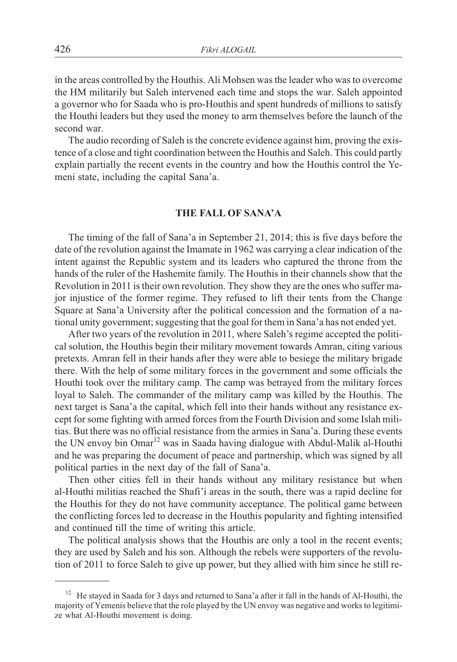in the areas controlled by the Houthis. Ali Mohsen was the leader who was to overcome the HM militarily but Saleh intervened each time and stops the war. Saleh appointed a governor who for Saada who is pro-Houthis and spent hundreds of millions to satisfy the Houthi leaders but they used the money to arm themselves before the launch of the second war.

The audio recording of Saleh is the concrete evidence against him, proving the existence of a close and tight coordination between the Houthis and Saleh. This could partly explain partially the recent events in the country and how the Houthis control the Yemeni state, including the capital Sana'a.

#### THE FALL OF SANA'A **THE FALL OF SANA'A**

The timing of the fall of Sana'a in September 21, 2014; this is five days before the date of the revolution against the Imamate in 1962 was carrying a clear indication of the intent against the Republic system and its leaders who captured the throne from the hands of the ruler of the Hashemite family. The Houthis in their channels show that the Revolution in 2011 is their own revolution. They show they are the ones who suffer major injustice of the former regime. They refused to lift their tents from the Change Square at Sana'a University after the political concession and the formation of a national unity government; suggesting that the goal for them in Sana'a has not ended yet.

After two years of the revolution in 2011, where Saleh's regime accepted the political solution, the Houthis begin their military movement towards Amran, citing various pretexts. Amran fell in their hands after they were able to besiege the military brigade there. With the help of some military forces in the government and some officials the Houthi took over the military camp. The camp was betrayed from the military forces loyal to Saleh. The commander of the military camp was killed by the Houthis. The next target is Sana'a the capital, which fell into their hands without any resistance except for some fighting with armed forces from the Fourth Division and some Islah militias. But there was no official resistance from the armies in Sana'a. During these events the UN envoy bin Omar<sup>12</sup> was in Saada having dialogue with Abdul-Malik al-Houthi and he was preparing the document of peace and partnership, which was signed by all political parties in the next day of the fall of Sana'a.

Then other cities fell in their hands without any military resistance but when al-Houthi militias reached the Shafi'i areas in the south, there was a rapid decline for the Houthis for they do not have community acceptance. The political game between the conflicting forces led to decrease in the Houthis popularity and fighting intensified and continued till the time of writing this article.

The political analysis shows that the Houthis are only a tool in the recent events; they are used by Saleh and his son. Although the rebels were supporters of the revolution of 2011 to force Saleh to give up power, but they allied with him since he still re-

<sup>&</sup>lt;sup>12</sup> He staved in Saada for 3 days and returned to Sana'a after it fall in the hands of Al-Houthi, the majority of Yemenis believe that the role played by the UN envoy was negative and works to legitimize what Al-Houthi movement is doing.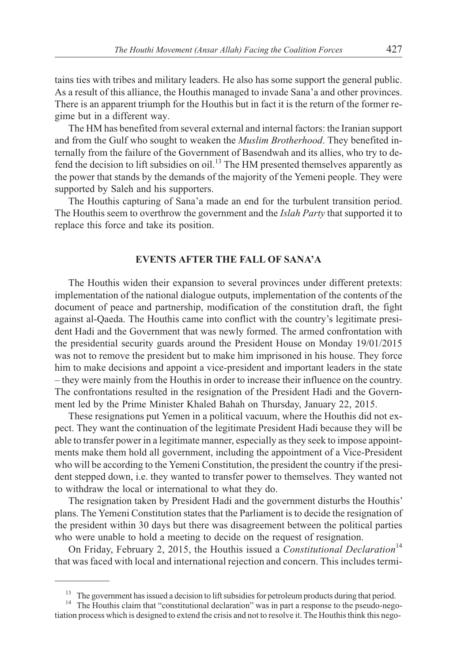tains ties with tribes and military leaders. He also has some support the general public. As a result of this alliance, the Houthis managed to invade Sana'a and other provinces. There is an apparent triumph for the Houthis but in fact it is the return of the former regime but in a different way.

The HM has benefited from several external and internal factors: the Iranian support and from the Gulf who sought to weaken the *Muslim Brotherhood*. They benefited internally from the failure of the Government of Basendwah and its allies, who try to defend the decision to lift subsidies on oil.<sup>13</sup> The HM presented themselves apparently as the power that stands by the demands of the majority of the Yemeni people. They were supported by Saleh and his supporters.

The Houthis capturing of Sana'a made an end for the turbulent transition period. The Houthis seem to overthrow the government and the *Islah Party* that supported it to replace this force and take its position.

#### **EVENTS AFTER THE FALL OF SANA'A EVENTS AFTER THE FALL OF SANA'A**

The Houthis widen their expansion to several provinces under different pretexts: implementation of the national dialogue outputs, implementation of the contents of the document of peace and partnership, modification of the constitution draft, the fight against al-Qaeda. The Houthis came into conflict with the country's legitimate president Hadi and the Government that was newly formed. The armed confrontation with the presidential security guards around the President House on Monday 19/01/2015 was not to remove the president but to make him imprisoned in his house. They force him to make decisions and appoint a vice-president and important leaders in the state – they were mainly from the Houthis in order to increase their influence on the country. The confrontations resulted in the resignation of the President Hadi and the Government led by the Prime Minister Khaled Bahah on Thursday, January 22, 2015.

These resignations put Yemen in a political vacuum, where the Houthis did not expect. They want the continuation of the legitimate President Hadi because they will be able to transfer power in a legitimate manner, especially as they seek to impose appointments make them hold all government, including the appointment of a Vice-President who will be according to the Yemeni Constitution, the president the country if the president stepped down, i.e. they wanted to transfer power to themselves. They wanted not to withdraw the local or international to what they do.

The resignation taken by President Hadi and the government disturbs the Houthis' plans. The Yemeni Constitution states that the Parliament is to decide the resignation of the president within 30 days but there was disagreement between the political parties who were unable to hold a meeting to decide on the request of resignation.

On Friday, February 2, 2015, the Houthis issued a *Constitutional Declaration*<sup>14</sup> that was faced with local and international rejection and concern. This includes termi-

<sup>&</sup>lt;sup>13</sup> The government has issued a decision to lift subsidies for petroleum products during that period.<br><sup>14</sup> The Houthis claim that "constitutional declaration" was in part a response to the pseudo-negotiation process which is designed to extend the crisis and not to resolve it. The Houthis think this nego-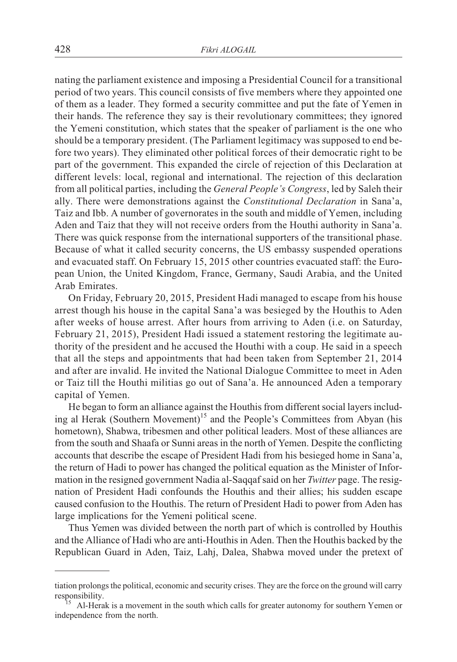nating the parliament existence and imposing a Presidential Council for a transitional period of two years. This council consists of five members where they appointed one of them as a leader. They formed a security committee and put the fate of Yemen in their hands. The reference they say is their revolutionary committees; they ignored the Yemeni constitution, which states that the speaker of parliament is the one who should be a temporary president. (The Parliament legitimacy was supposed to end before two years). They eliminated other political forces of their democratic right to be part of the government. This expanded the circle of rejection of this Declaration at different levels: local, regional and international. The rejection of this declaration from all political parties, including the *General People's Congress*, led by Saleh their ally. There were demonstrations against the *Constitutional Declaration* in Sana'a, Taiz and Ibb. A number of governorates in the south and middle of Yemen, including Aden and Taiz that they will not receive orders from the Houthi authority in Sana'a. There was quick response from the international supporters of the transitional phase. Because of what it called security concerns, the US embassy suspended operations and evacuated staff. On February 15, 2015 other countries evacuated staff: the European Union, the United Kingdom, France, Germany, Saudi Arabia, and the United Arab Emirates.

On Friday, February 20, 2015, President Hadi managed to escape from his house arrest though his house in the capital Sana'a was besieged by the Houthis to Aden after weeks of house arrest. After hours from arriving to Aden (i.e. on Saturday, February 21, 2015), President Hadi issued a statement restoring the legitimate authority of the president and he accused the Houthi with a coup. He said in a speech that all the steps and appointments that had been taken from September 21, 2014 and after are invalid. He invited the National Dialogue Committee to meet in Aden or Taiz till the Houthi militias go out of Sana'a. He announced Aden a temporary capital of Yemen.

He began to form an alliance against the Houthis from different social layers including al Herak (Southern Movement)<sup>15</sup> and the People's Committees from Abyan (his hometown), Shabwa, tribesmen and other political leaders. Most of these alliances are from the south and Shaafa or Sunni areas in the north of Yemen. Despite the conflicting accounts that describe the escape of President Hadi from his besieged home in Sana'a, the return of Hadi to power has changed the political equation as the Minister of Information in the resigned government Nadia al-Saqqaf said on her *Twitter* page. The resignation of President Hadi confounds the Houthis and their allies; his sudden escape caused confusion to the Houthis. The return of President Hadi to power from Aden has large implications for the Yemeni political scene.

Thus Yemen was divided between the north part of which is controlled by Houthis and the Alliance of Hadi who are anti-Houthis in Aden. Then the Houthis backed by the Republican Guard in Aden, Taiz, Lahj, Dalea, Shabwa moved under the pretext of

tiation prolongs the political, economic and security crises. They are the force on the ground will carry<br>responsibility.<br><sup>15</sup> ALHerak is a movement in the south which calls for greater autonomy for southorn Yoman or

Al-Herak is a movement in the south which calls for greater autonomy for southern Yemen or independence from the north.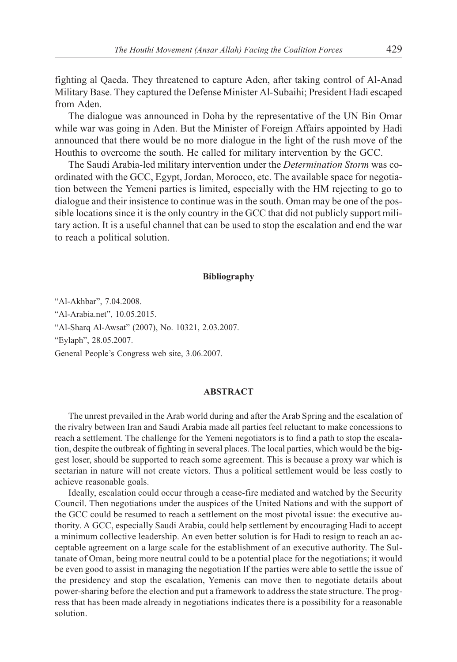fighting al Qaeda. They threatened to capture Aden, after taking control of Al-Anad Military Base. They captured the Defense Minister Al-Subaihi; President Hadi escaped from Aden.

The dialogue was announced in Doha by the representative of the UN Bin Omar while war was going in Aden. But the Minister of Foreign Affairs appointed by Hadi announced that there would be no more dialogue in the light of the rush move of the Houthis to overcome the south. He called for military intervention by the GCC.

The Saudi Arabia-led military intervention under the *Determination Storm* was coordinated with the GCC, Egypt, Jordan, Morocco, etc. The available space for negotiation between the Yemeni parties is limited, especially with the HM rejecting to go to dialogue and their insistence to continue was in the south. Oman may be one of the possible locations since it is the only country in the GCC that did not publicly support military action. It is a useful channel that can be used to stop the escalation and end the war to reach a political solution.

#### **Bibliography**

"Al-Akhbar", 7.04.2008. "Al-Arabia.net", 10.05.2015. "Al-Sharq Al-Awsat" (2007), No. 10321, 2.03.2007. "Eylaph", 28.05.2007. General People's Congress web site, 3.06.2007.

#### **ABSTRACT**

The unrest prevailed in the Arab world during and after the Arab Spring and the escalation of the rivalry between Iran and Saudi Arabia made all parties feel reluctant to make concessions to reach a settlement. The challenge for the Yemeni negotiators is to find a path to stop the escalation, despite the outbreak of fighting in several places. The local parties, which would be the biggest loser, should be supported to reach some agreement. This is because a proxy war which is sectarian in nature will not create victors. Thus a political settlement would be less costly to achieve reasonable goals.

Ideally, escalation could occur through a cease-fire mediated and watched by the Security Council. Then negotiations under the auspices of the United Nations and with the support of the GCC could be resumed to reach a settlement on the most pivotal issue: the executive authority. A GCC, especially Saudi Arabia, could help settlement by encouraging Hadi to accept a minimum collective leadership. An even better solution is for Hadi to resign to reach an acceptable agreement on a large scale for the establishment of an executive authority. The Sultanate of Oman, being more neutral could to be a potential place for the negotiations; it would be even good to assist in managing the negotiation If the parties were able to settle the issue of the presidency and stop the escalation, Yemenis can move then to negotiate details about power-sharing before the election and put a framework to address the state structure. The progress that has been made already in negotiations indicates there is a possibility for a reasonable solution.